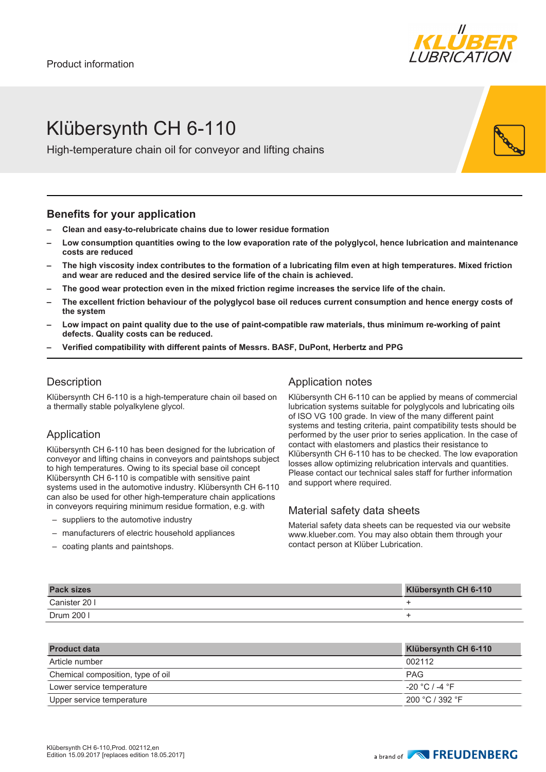

# Klübersynth CH 6-110

High-temperature chain oil for conveyor and lifting chains

### **Benefits for your application**

- **– Clean and easy-to-relubricate chains due to lower residue formation**
- **– Low consumption quantities owing to the low evaporation rate of the polyglycol, hence lubrication and maintenance costs are reduced**
- **– The high viscosity index contributes to the formation of a lubricating film even at high temperatures. Mixed friction and wear are reduced and the desired service life of the chain is achieved.**
- **– The good wear protection even in the mixed friction regime increases the service life of the chain.**
- **– The excellent friction behaviour of the polyglycol base oil reduces current consumption and hence energy costs of the system**
- **– Low impact on paint quality due to the use of paint-compatible raw materials, thus minimum re-working of paint defects. Quality costs can be reduced.**
- **– Verified compatibility with different paints of Messrs. BASF, DuPont, Herbertz and PPG**

# **Description**

Klübersynth CH 6-110 is a high-temperature chain oil based on a thermally stable polyalkylene glycol.

## Application

Klübersynth CH 6-110 has been designed for the lubrication of conveyor and lifting chains in conveyors and paintshops subject to high temperatures. Owing to its special base oil concept Klübersynth CH 6-110 is compatible with sensitive paint systems used in the automotive industry. Klübersynth CH 6-110 can also be used for other high-temperature chain applications in conveyors requiring minimum residue formation, e.g. with

- suppliers to the automotive industry
- manufacturers of electric household appliances
- coating plants and paintshops.

# Application notes

Klübersynth CH 6-110 can be applied by means of commercial lubrication systems suitable for polyglycols and lubricating oils of ISO VG 100 grade. In view of the many different paint systems and testing criteria, paint compatibility tests should be performed by the user prior to series application. In the case of contact with elastomers and plastics their resistance to Klübersynth CH 6-110 has to be checked. The low evaporation losses allow optimizing relubrication intervals and quantities. Please contact our technical sales staff for further information and support where required.

## Material safety data sheets

Material safety data sheets can be requested via our website www.klueber.com. You may also obtain them through your contact person at Klüber Lubrication.

| <b>Pack sizes</b> | Klübersynth CH 6-110 |
|-------------------|----------------------|
| Canister 20 I     |                      |
| Drum 200 l        |                      |

| <b>Product data</b>               | Klübersynth CH 6-110 |
|-----------------------------------|----------------------|
| Article number                    | 002112               |
| Chemical composition, type of oil | <b>PAG</b>           |
| Lower service temperature         | $-20$ °C / -4 °F     |
| Upper service temperature         | 200 °C / 392 °F      |